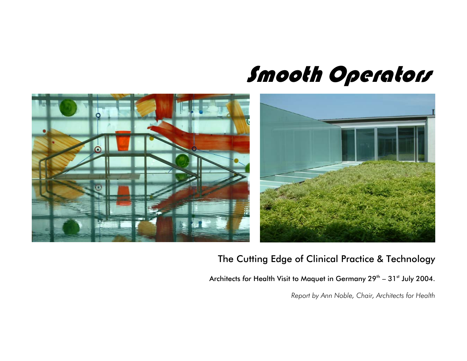## Smooth Operators



## The Cutting Edge of Clinical Practice & Technology

Architects for Health Visit to Maquet in Germany 29<sup>th</sup> - 31<sup>st</sup> July 2004.

*Report by Ann Noble, Chair, Architects for Health*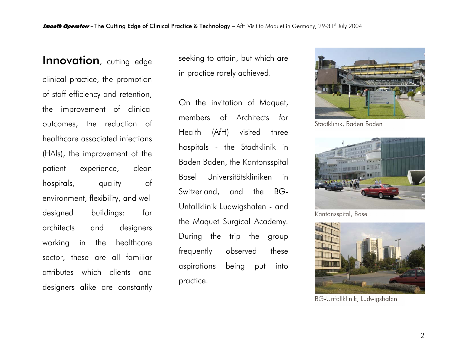## Innovation, cutting edge

clinical practice, the promotion of staff efficiency and retention, the improvement of clinical outcomes, the reduction of healthcare associated infections (HAIs), the improvement of the patient experience, clean hospitals, quality of environment, flexibility, and well designed buildings: for architects and designers working in the healthcare sector, these are all familiar attributes which clients and designers alike are constantly seeking to attain, but which are in practice rarely achieved.

On the invitation of Maquet, members of Architects *for* Health (A*f*H) visited three hospitals - the Stadtklinik in Baden Baden, the Kantonsspital Basel Universitätskliniken in Switzerland, and the BG-Unfallklinik Ludwigshafen - and the Maquet Surgical Academy. During the trip the group frequently observed these aspirations being put into practice.



Stadtklinik, Baden Baden



Kantonsspital, Basel



BG-Unfallklinik, Ludwigshafen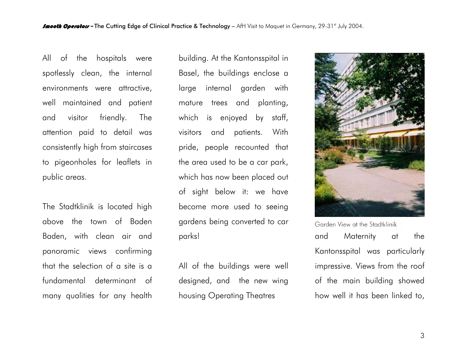All of the hospitals were spotlessly clean, the internal environments were attractive, well maintained and patient and visitor friendly. The attention paid to detail was consistently high from staircases to pigeonholes for leaflets in public areas.

The Stadtklinik is located high above the town of Baden Baden, with clean air and panoramic views confirming that the selection of a site is a fundamental determinant of many qualities for any health

building. At the Kantonsspital in Basel, the buildings enclose a large internal garden with mature trees and planting, which is enjoyed by staff, visitors and patients. With pride, people recounted that the area used to be a car park, which has now been placed out of sight below it: we have become more used to seeing gardens being converted to car parks!

All of the buildings were well designed, and the new wing housing Operating Theatres



Garden View at the Stadtklinik and Maternity at the Kantonsspital was particularly impressive. Views from the roof of the main building showed how well it has been linked to,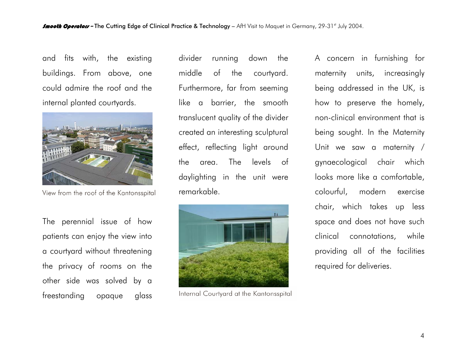and fits with, the existing buildings. From above, one could admire the roof and the internal planted courtyards.



View from the roof of the Kantonsspital

The perennial issue of how patients can enjoy the view into a courtyard without threatening the privacy of rooms on the other side was solved by a freestanding opaque glass divider running down the middle of the courtyard. Furthermore, far from seeming like a barrier, the smooth translucent quality of the divider created an interesting sculptural effect, reflecting light around the area. The levels of daylighting in the unit were remarkable.



Internal Courtyard at the Kantonsspital

A concern in furnishing for maternity units, increasingly being addressed in the UK, is how to preserve the homely, non-clinical environment that is being sought. In the Maternity Unit we saw a maternity / gynaecological chair which looks more like a comfortable, colourful, modern exercise chair, which takes up less space and does not have such clinical connotations, while providing all of the facilities required for deliveries.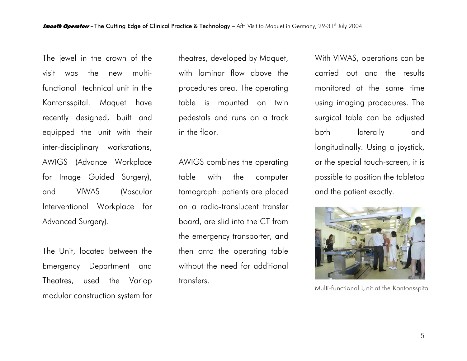The jewel in the crown of the visit was the new multifunctional technical unit in the Kantonsspital. Maquet have recently designed, built and equipped the unit with their inter-disciplinary workstations, AWIGS (Advance Workplace for Image Guided Surgery), and VIWAS (Vascular Interventional Workplace for Advanced Surgery).

The Unit, located between the Emergency Department and Theatres, used the Variop modular construction system for theatres, developed by Maquet, with laminar flow above the procedures area. The operating table is mounted on twin pedestals and runs on a track in the floor.

AWIGS combines the operating table with the computer tomograph: patients are placed on a radio-translucent transfer board, are slid into the CT from the emergency transporter, and then onto the operating table without the need for additional transfers.

With VIWAS, operations can be carried out and the results monitored at the same time using imaging procedures. The surgical table can be adjusted both laterally and longitudinally. Using a joystick, or the special touch-screen, it is possible to position the tabletop and the patient exactly.



Multi-functional Unit at the Kantonsspital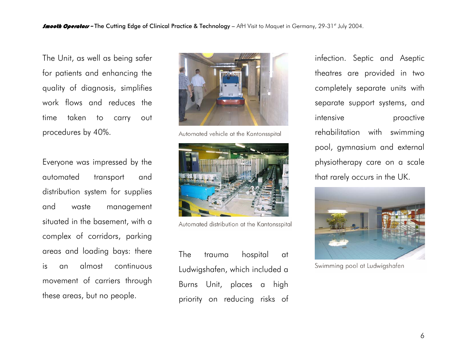The Unit, as well as being safer for patients and enhancing the quality of diagnosis, simplifies work flows and reduces the time taken to carry out procedures by 40%.

Everyone was impressed by the automated transport and distribution system for supplies and waste management situated in the basement, with a complex of corridors, parking areas and loading bays: there is an almost continuous movement of carriers through these areas, but no people.



Automated vehicle at the Kantonsspital



Automated distribution at the Kantonsspital

The trauma hospital at Ludwigshafen, which included a Burns Unit, places a high priority on reducing risks of infection. Septic and Aseptic theatres are provided in two completely separate units with separate support systems, and intensive proactive rehabilitation with swimming pool, gymnasium and external <sup>p</sup>hysiotherapy care on a scale that rarely occurs in the UK.



Swimming pool at Ludwigshafen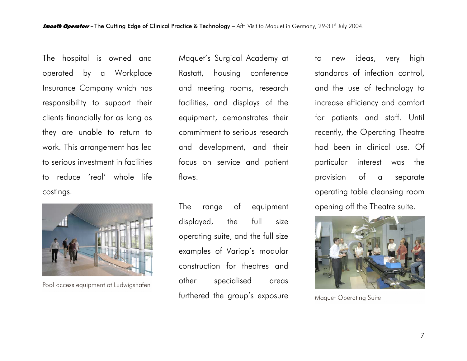The hospital is owned and operated by a Workplace Insurance Company which has responsibility to support their clients financially for as long as they are unable to return to work. This arrangement has led to serious investment in facilities to reduce 'real' whole life costings.



Pool access equipment at Ludwigshafen

Maquet's Surgical Academy at Rastatt, housing conference and meeting rooms, research facilities, and displays of the equipment, demonstrates their commitment to serious research and development, and their focus on service and patient flows.

The range of equipment displayed, the full size operating suite, and the full size examples of Variop's modular construction for theatres and other specialised areas furthered the group's exposure

to new ideas, very high standards of infection control, and the use of technology to increase efficiency and comfort for patients and staff. Until recently, the Operating Theatre had been in clinical use. Of particular interest was the provision of a separate operating table cleansing room opening off the Theatre suite.



Maquet Operating Suite